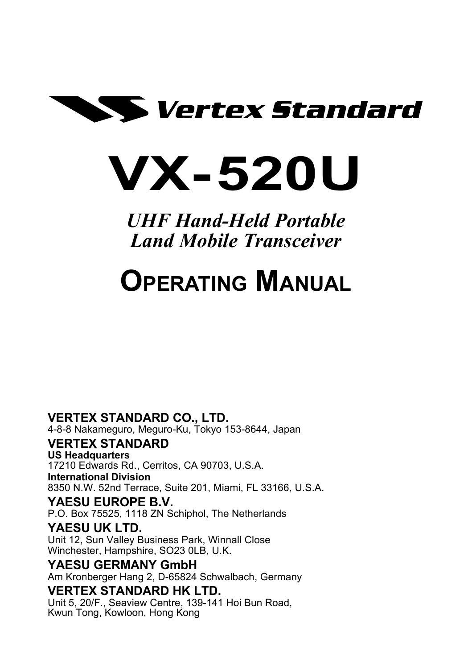

# **VX-520U**

*UHF Hand-Held Portable Land Mobile Transceiver*

# **OPERATING MANUAL**

#### **VERTEX STANDARD CO., LTD.**

4-8-8 Nakameguro, Meguro-Ku, Tokyo 153-8644, Japan

#### **VERTEX STANDARD**

**US Headquarters**

17210 Edwards Rd., Cerritos, CA 90703, U.S.A. **International Division** 8350 N.W. 52nd Terrace, Suite 201, Miami, FL 33166, U.S.A.

#### **YAESU EUROPE B.V.**

P.O. Box 75525, 1118 ZN Schiphol, The Netherlands

#### **YAESU UK LTD.**

Unit 12, Sun Valley Business Park, Winnall Close Winchester, Hampshire, SO23 0LB, U.K.

#### **YAESU GERMANY GmbH**

Am Kronberger Hang 2, D-65824 Schwalbach, Germany

#### **VERTEX STANDARD HK LTD.**

Unit 5, 20/F., Seaview Centre, 139-141 Hoi Bun Road, Kwun Tong, Kowloon, Hong Kong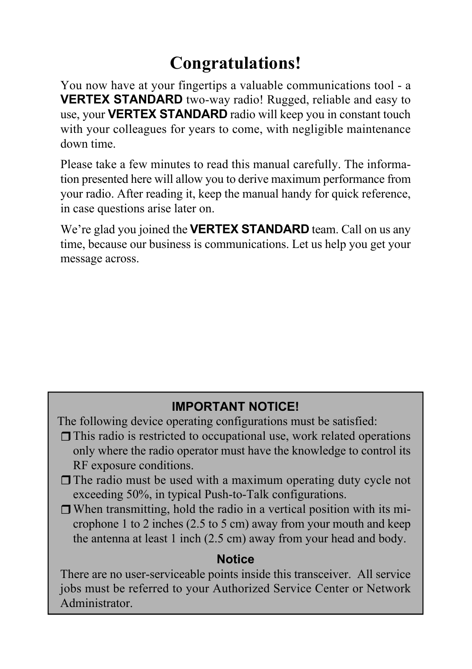# **Congratulations!**

You now have at your fingertips a valuable communications tool - a **VERTEX STANDARD** two-way radio! Rugged, reliable and easy to use, your **VERTEX STANDARD** radio will keep you in constant touch with your colleagues for years to come, with negligible maintenance down time.

Please take a few minutes to read this manual carefully. The information presented here will allow you to derive maximum performance from your radio. After reading it, keep the manual handy for quick reference, in case questions arise later on.

We're glad you joined the **VERTEX STANDARD** team. Call on us any time, because our business is communications. Let us help you get your message across.

#### **IMPORTANT NOTICE!**

The following device operating configurations must be satisfied:

- $\Box$  This radio is restricted to occupational use, work related operations only where the radio operator must have the knowledge to control its RF exposure conditions.
- $\Box$  The radio must be used with a maximum operating duty cycle not exceeding 50%, in typical Push-to-Talk configurations.
- $\Box$  When transmitting, hold the radio in a vertical position with its microphone 1 to 2 inches (2.5 to 5 cm) away from your mouth and keep the antenna at least 1 inch (2.5 cm) away from your head and body.

#### **Notice**

There are no user-serviceable points inside this transceiver. All service jobs must be referred to your Authorized Service Center or Network Administrator.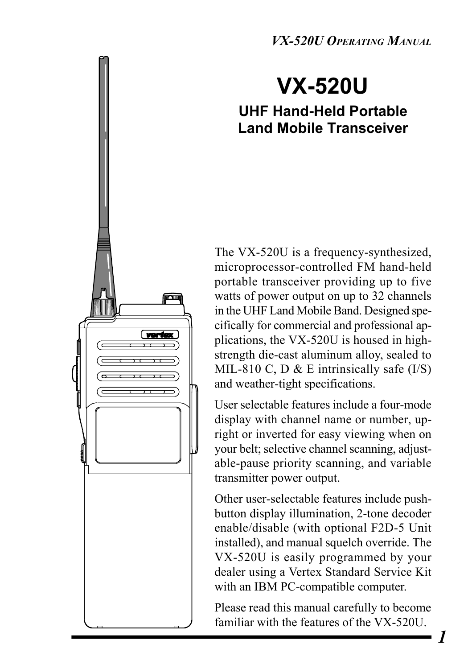*VX-520U OPERATING MANUAL*

# **VX-520U**

#### **UHF Hand-Held Portable Land Mobile Transceiver**

The VX-520U is a frequency-synthesized, microprocessor-controlled FM hand-held portable transceiver providing up to five watts of power output on up to 32 channels in the UHF Land Mobile Band. Designed specifically for commercial and professional applications, the VX-520U is housed in highstrength die-cast aluminum alloy, sealed to MIL-810 C, D & E intrinsically safe  $(I/S)$ and weather-tight specifications.

**vark** 

User selectable features include a four-mode display with channel name or number, upright or inverted for easy viewing when on your belt; selective channel scanning, adjustable-pause priority scanning, and variable transmitter power output.

Other user-selectable features include pushbutton display illumination, 2-tone decoder enable/disable (with optional F2D-5 Unit installed), and manual squelch override. The VX-520U is easily programmed by your dealer using a Vertex Standard Service Kit with an IBM PC-compatible computer.

Please read this manual carefully to become familiar with the features of the VX-520U.

*1*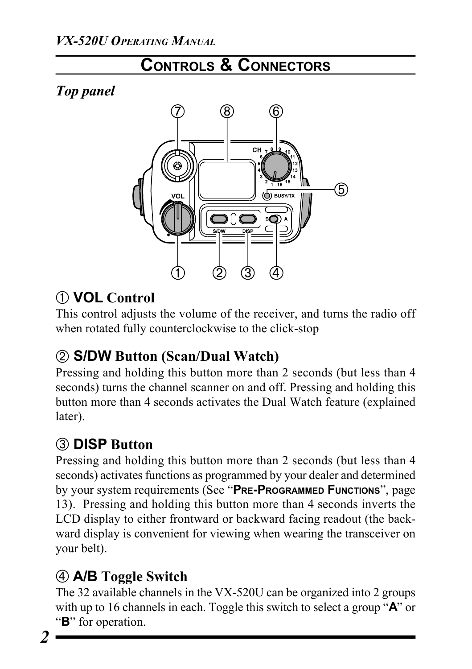# **CONTROLS & CONNECTORS**

*Top panel*



# ¿ **VOL Control**

This control adjusts the volume of the receiver, and turns the radio off when rotated fully counterclockwise to the click-stop

# £ **S/DW Button (Scan/Dual Watch)**

Pressing and holding this button more than 2 seconds (but less than 4 seconds) turns the channel scanner on and off. Pressing and holding this button more than 4 seconds activates the Dual Watch feature (explained later).

# ¬ **DISP Button**

Pressing and holding this button more than 2 seconds (but less than 4 seconds) activates functions as programmed by your dealer and determined by your system requirements (See "**PRE-PROGRAMMED FUNCTIONS**", page 13). Pressing and holding this button more than 4 seconds inverts the LCD display to either frontward or backward facing readout (the backward display is convenient for viewing when wearing the transceiver on your belt).

# Ã **A/B Toggle Switch**

The 32 available channels in the VX-520U can be organized into 2 groups with up to 16 channels in each. Toggle this switch to select a group "**A**" or "**B**" for operation.

*2*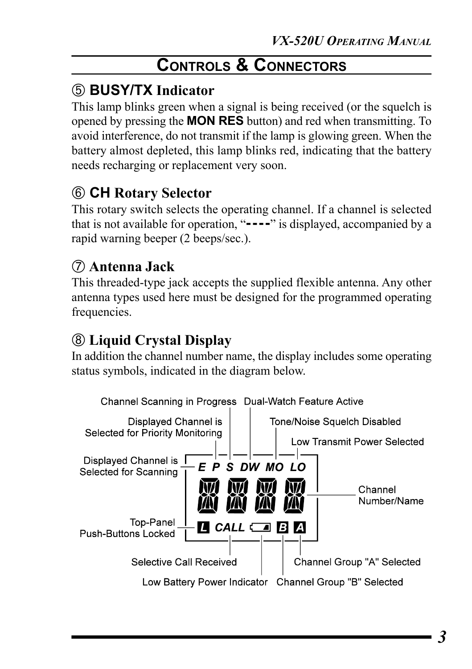# **CONTROLS & CONNECTORS**

# ƒ **BUSY/TX Indicator**

This lamp blinks green when a signal is being received (or the squelch is opened by pressing the **MON RES** button) and red when transmitting. To avoid interference, do not transmit if the lamp is glowing green. When the battery almost depleted, this lamp blinks red, indicating that the battery needs recharging or replacement very soon.

# Å **CH Rotary Selector**

This rotary switch selects the operating channel. If a channel is selected that is not available for operation, "**----**" is displayed, accompanied by a rapid warning beeper (2 beeps/sec.).

## Æ **Antenna Jack**

This threaded-type jack accepts the supplied flexible antenna. Any other antenna types used here must be designed for the programmed operating frequencies.

# « **Liquid Crystal Display**

In addition the channel number name, the display includes some operating status symbols, indicated in the diagram below.

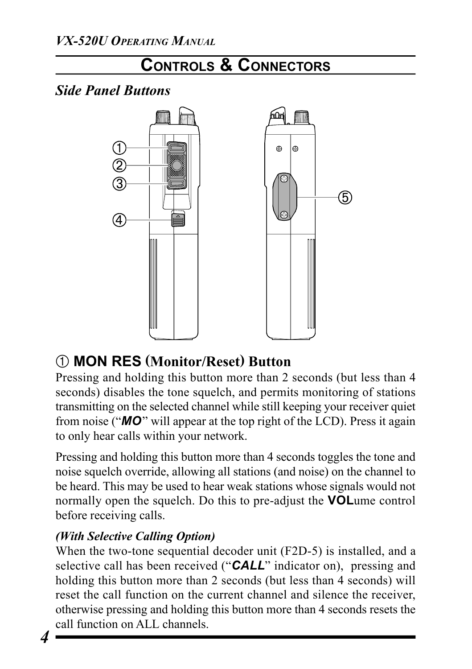

# ¿ **MON RES (Monitor/Reset) Button**

Pressing and holding this button more than 2 seconds (but less than 4 seconds) disables the tone squelch, and permits monitoring of stations transmitting on the selected channel while still keeping your receiver quiet from noise ("*MO*" will appear at the top right of the LCD). Press it again to only hear calls within your network.

Pressing and holding this button more than 4 seconds toggles the tone and noise squelch override, allowing all stations (and noise) on the channel to be heard. This may be used to hear weak stations whose signals would not normally open the squelch. Do this to pre-adjust the **VOL**ume control before receiving calls.

#### *(With Selective Calling Option)*

When the two-tone sequential decoder unit (F2D-5) is installed, and a selective call has been received ("*CALL*" indicator on), pressing and holding this button more than 2 seconds (but less than 4 seconds) will reset the call function on the current channel and silence the receiver, otherwise pressing and holding this button more than 4 seconds resets the call function on ALL channels.

*4*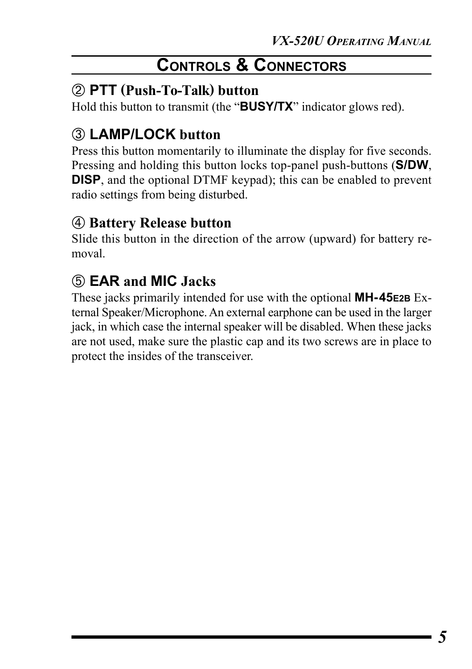# **CONTROLS & CONNECTORS**

#### £ **PTT (Push-To-Talk) button**

Hold this button to transmit (the "**BUSY/TX**" indicator glows red).

# ¬ **LAMP/LOCK button**

Press this button momentarily to illuminate the display for five seconds. Pressing and holding this button locks top-panel push-buttons (**S/DW**, **DISP**, and the optional DTMF keypad); this can be enabled to prevent radio settings from being disturbed.

#### Ã **Battery Release button**

Slide this button in the direction of the arrow (upward) for battery removal.

# ƒ **EAR and MIC Jacks**

These jacks primarily intended for use with the optional **MH-45E2B** External Speaker/Microphone. An external earphone can be used in the larger jack, in which case the internal speaker will be disabled. When these jacks are not used, make sure the plastic cap and its two screws are in place to protect the insides of the transceiver.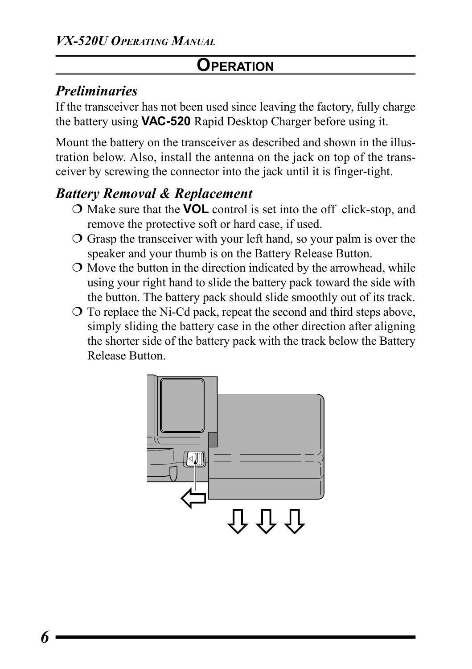#### *Preliminaries*

If the transceiver has not been used since leaving the factory, fully charge the battery using **VAC-520** Rapid Desktop Charger before using it.

Mount the battery on the transceiver as described and shown in the illustration below. Also, install the antenna on the jack on top of the transceiver by screwing the connector into the jack until it is finger-tight.

# *Battery Removal & Replacement*

- ¶ Make sure that the **VOL** control is set into the off click-stop, and remove the protective soft or hard case, if used.
- $\overline{O}$  Grasp the transceiver with your left hand, so your palm is over the speaker and your thumb is on the Battery Release Button.
- $\circ$  Move the button in the direction indicated by the arrowhead, while using your right hand to slide the battery pack toward the side with the button. The battery pack should slide smoothly out of its track.
- $\overline{O}$  To replace the Ni-Cd pack, repeat the second and third steps above, simply sliding the battery case in the other direction after aligning the shorter side of the battery pack with the track below the Battery Release Button.

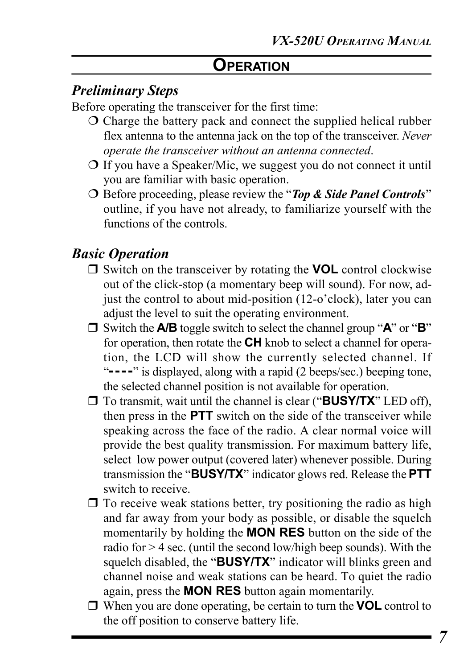#### *Preliminary Steps*

Before operating the transceiver for the first time:

- $\overline{O}$  Charge the battery pack and connect the supplied helical rubber flex antenna to the antenna jack on the top of the transceiver. *Never operate the transceiver without an antenna connected*.
- $\overline{O}$  If you have a Speaker/Mic, we suggest you do not connect it until you are familiar with basic operation.
- ¶ Before proceeding, please review the "*Top & Side Panel Controls*" outline, if you have not already, to familiarize yourself with the functions of the controls.

#### *Basic Operation*

- □ Switch on the transceiver by rotating the **VOL** control clockwise out of the click-stop (a momentary beep will sound). For now, adjust the control to about mid-position (12-o'clock), later you can adjust the level to suit the operating environment.
- □ Switch the **A/B** toggle switch to select the channel group "**A**" or "**B**" for operation, then rotate the **CH** knob to select a channel for operation, the LCD will show the currently selected channel. If "**----**" is displayed, along with a rapid (2 beeps/sec.) beeping tone, the selected channel position is not available for operation.
- □ To transmit, wait until the channel is clear ("**BUSY/TX**" LED off), then press in the **PTT** switch on the side of the transceiver while speaking across the face of the radio. A clear normal voice will provide the best quality transmission. For maximum battery life, select low power output (covered later) whenever possible. During transmission the "**BUSY/TX**" indicator glows red. Release the **PTT** switch to receive.
- $\Box$  To receive weak stations better, try positioning the radio as high and far away from your body as possible, or disable the squelch momentarily by holding the **MON RES** button on the side of the radio for  $> 4$  sec. (until the second low/high beep sounds). With the squelch disabled, the "**BUSY/TX**" indicator will blinks green and channel noise and weak stations can be heard. To quiet the radio again, press the **MON RES** button again momentarily.
- □ When you are done operating, be certain to turn the **VOL** control to the off position to conserve battery life.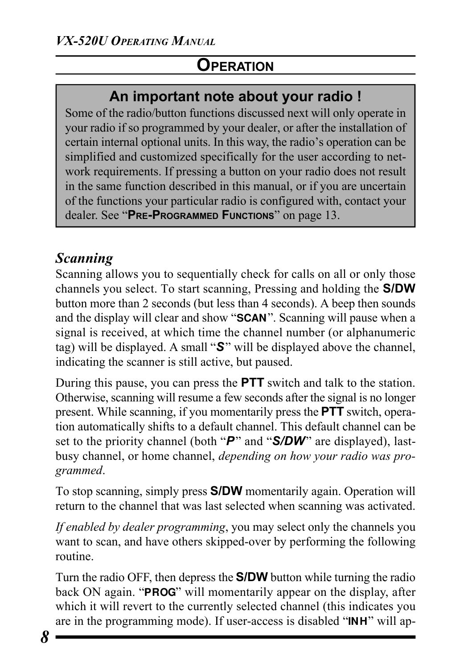#### **An important note about your radio !**

Some of the radio/button functions discussed next will only operate in your radio if so programmed by your dealer, or after the installation of certain internal optional units. In this way, the radio's operation can be simplified and customized specifically for the user according to network requirements. If pressing a button on your radio does not result in the same function described in this manual, or if you are uncertain of the functions your particular radio is configured with, contact your dealer. See "**PRE-PROGRAMMED FUNCTIONS**" on page 13.

#### *Scanning*

Scanning allows you to sequentially check for calls on all or only those channels you select. To start scanning, Pressing and holding the **S/DW** button more than 2 seconds (but less than 4 seconds). A beep then sounds and the display will clear and show "**SCAN**". Scanning will pause when a signal is received, at which time the channel number (or alphanumeric tag) will be displayed. A small "*S*" will be displayed above the channel, indicating the scanner is still active, but paused.

During this pause, you can press the **PTT** switch and talk to the station. Otherwise, scanning will resume a few seconds after the signal is no longer present. While scanning, if you momentarily press the **PTT** switch, operation automatically shifts to a default channel. This default channel can be set to the priority channel (both "*P*" and "*S/DW*" are displayed), lastbusy channel, or home channel, *depending on how your radio was programmed*.

To stop scanning, simply press **S/DW** momentarily again. Operation will return to the channel that was last selected when scanning was activated.

*If enabled by dealer programming*, you may select only the channels you want to scan, and have others skipped-over by performing the following routine.

Turn the radio OFF, then depress the **S/DW** button while turning the radio back ON again. "**PROG**" will momentarily appear on the display, after which it will revert to the currently selected channel (this indicates you are in the programming mode). If user-access is disabled "**INH**" will ap-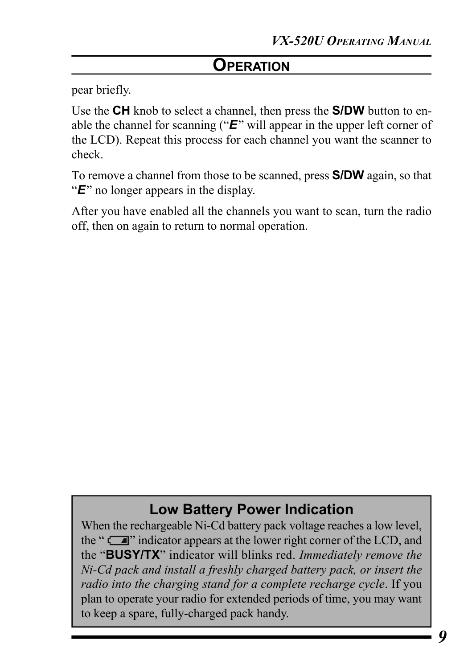pear briefly.

Use the **CH** knob to select a channel, then press the **S/DW** button to enable the channel for scanning ("*E*" will appear in the upper left corner of the LCD). Repeat this process for each channel you want the scanner to check.

To remove a channel from those to be scanned, press **S/DW** again, so that "*E*" no longer appears in the display.

After you have enabled all the channels you want to scan, turn the radio off, then on again to return to normal operation.

#### **Low Battery Power Indication**

When the rechargeable Ni-Cd battery pack voltage reaches a low level, the " $\Box$ " indicator appears at the lower right corner of the LCD, and the "**BUSY/TX**" indicator will blinks red. *Immediately remove the Ni-Cd pack and install a freshly charged battery pack, or insert the radio into the charging stand for a complete recharge cycle*. If you plan to operate your radio for extended periods of time, you may want to keep a spare, fully-charged pack handy.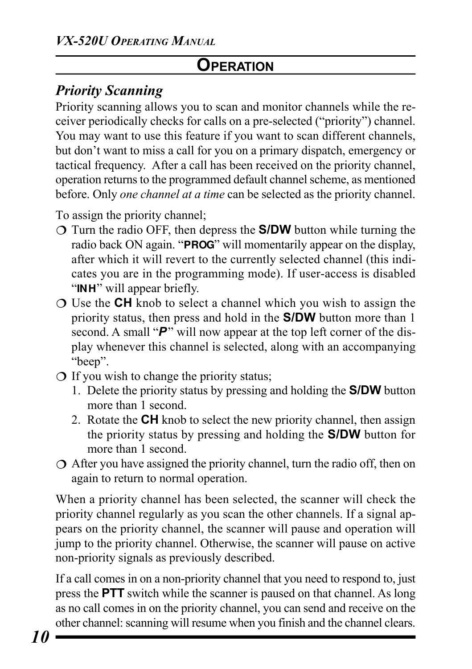# *Priority Scanning*

Priority scanning allows you to scan and monitor channels while the receiver periodically checks for calls on a pre-selected ("priority") channel. You may want to use this feature if you want to scan different channels, but don't want to miss a call for you on a primary dispatch, emergency or tactical frequency. After a call has been received on the priority channel, operation returns to the programmed default channel scheme, as mentioned before. Only *one channel at a time* can be selected as the priority channel.

To assign the priority channel;

- ¶ Turn the radio OFF, then depress the **S/DW** button while turning the radio back ON again. "**PROG**" will momentarily appear on the display, after which it will revert to the currently selected channel (this indicates you are in the programming mode). If user-access is disabled "**INH**" will appear briefly.
- ¶ Use the **CH** knob to select a channel which you wish to assign the priority status, then press and hold in the **S/DW** button more than 1 second. A small " $P$ " will now appear at the top left corner of the display whenever this channel is selected, along with an accompanying "beep".
- $\bigcirc$  If you wish to change the priority status;
	- 1. Delete the priority status by pressing and holding the **S/DW** button more than 1 second.
	- 2. Rotate the **CH** knob to select the new priority channel, then assign the priority status by pressing and holding the **S/DW** button for more than 1 second.
- $\circ$  After you have assigned the priority channel, turn the radio off, then on again to return to normal operation.

When a priority channel has been selected, the scanner will check the priority channel regularly as you scan the other channels. If a signal appears on the priority channel, the scanner will pause and operation will jump to the priority channel. Otherwise, the scanner will pause on active non-priority signals as previously described.

If a call comes in on a non-priority channel that you need to respond to, just press the **PTT** switch while the scanner is paused on that channel. As long as no call comes in on the priority channel, you can send and receive on the other channel: scanning will resume when you finish and the channel clears.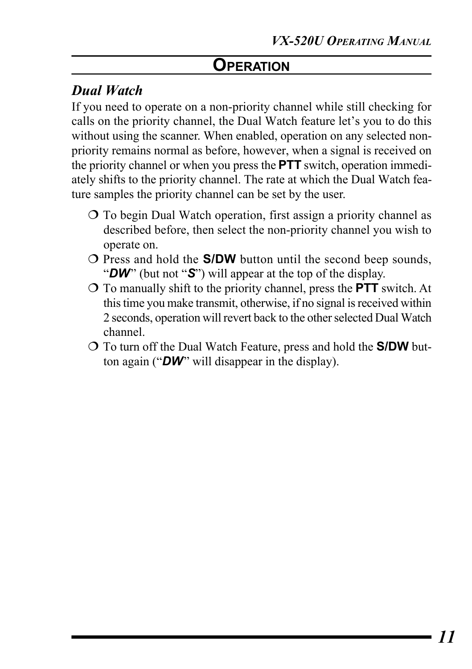## *Dual Watch*

If you need to operate on a non-priority channel while still checking for calls on the priority channel, the Dual Watch feature let's you to do this without using the scanner. When enabled, operation on any selected nonpriority remains normal as before, however, when a signal is received on the priority channel or when you press the **PTT** switch, operation immediately shifts to the priority channel. The rate at which the Dual Watch feature samples the priority channel can be set by the user.

- ¶ To begin Dual Watch operation, first assign a priority channel as described before, then select the non-priority channel you wish to operate on.
- ¶ Press and hold the **S/DW** button until the second beep sounds, "*DW*" (but not "*S*") will appear at the top of the display.
- ¶ To manually shift to the priority channel, press the **PTT** switch. At this time you make transmit, otherwise, if no signal is received within 2 seconds, operation will revert back to the other selected Dual Watch channel.
- ¶ To turn off the Dual Watch Feature, press and hold the **S/DW** button again ("*DW*" will disappear in the display).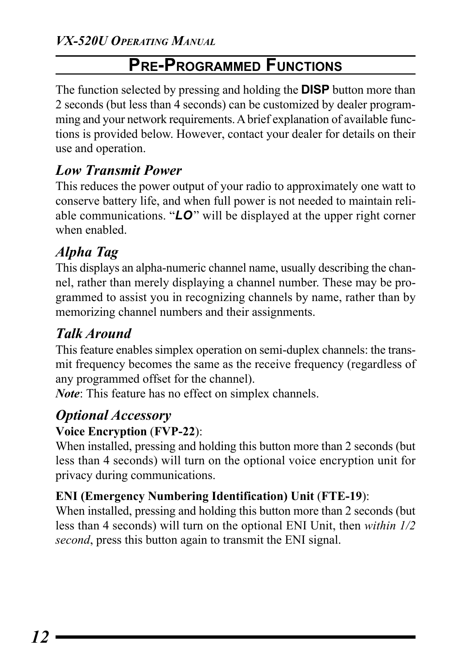# **PRE-PROGRAMMED FUNCTIONS**

The function selected by pressing and holding the **DISP** button more than 2 seconds (but less than 4 seconds) can be customized by dealer programming and your network requirements. A brief explanation of available functions is provided below. However, contact your dealer for details on their use and operation.

# *Low Transmit Power*

This reduces the power output of your radio to approximately one watt to conserve battery life, and when full power is not needed to maintain reliable communications. "*LO*" will be displayed at the upper right corner when enabled.

# *Alpha Tag*

This displays an alpha-numeric channel name, usually describing the channel, rather than merely displaying a channel number. These may be programmed to assist you in recognizing channels by name, rather than by memorizing channel numbers and their assignments.

# *Talk Around*

This feature enables simplex operation on semi-duplex channels: the transmit frequency becomes the same as the receive frequency (regardless of any programmed offset for the channel).

*Note*: This feature has no effect on simplex channels.

# *Optional Accessory*

#### **Voice Encryption** (**FVP-22**):

When installed, pressing and holding this button more than 2 seconds (but less than 4 seconds) will turn on the optional voice encryption unit for privacy during communications.

#### **ENI (Emergency Numbering Identification) Unit** (**FTE-19**):

When installed, pressing and holding this button more than 2 seconds (but less than 4 seconds) will turn on the optional ENI Unit, then *within 1/2 second*, press this button again to transmit the ENI signal.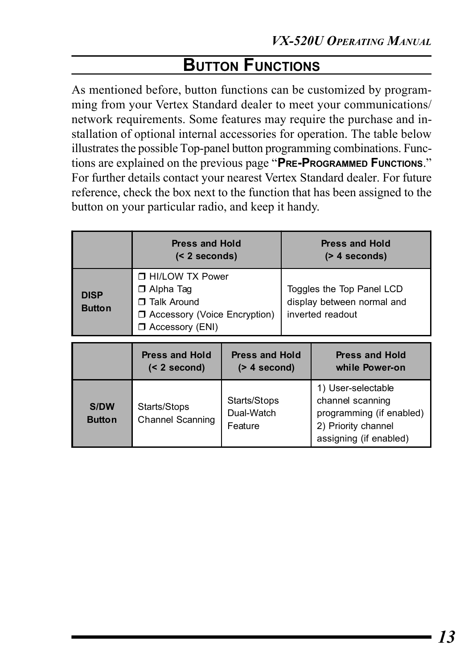# **BUTTON FUNCTIONS**

As mentioned before, button functions can be customized by programming from your Vertex Standard dealer to meet your communications/ network requirements. Some features may require the purchase and installation of optional internal accessories for operation. The table below illustrates the possible Top-panel button programming combinations. Functions are explained on the previous page "**PRE-PROGRAMMED FUNCTIONS**." For further details contact your nearest Vertex Standard dealer. For future reference, check the box next to the function that has been assigned to the button on your particular radio, and keep it handy.

|                              | <b>Press and Hold</b><br>$(2 seconds)$                                                                                   |                                          | <b>Press and Hold</b><br>$($ > 4 seconds)                                   |                                                                                                                     |
|------------------------------|--------------------------------------------------------------------------------------------------------------------------|------------------------------------------|-----------------------------------------------------------------------------|---------------------------------------------------------------------------------------------------------------------|
| <b>DISP</b><br><b>Button</b> | <b>THI/LOW TX Power</b><br>$\Box$ Alpha Taq<br>□ Talk Around<br>□ Accessory (Voice Encryption)<br>$\Box$ Accessory (ENI) |                                          | Toggles the Top Panel LCD<br>display between normal and<br>inverted readout |                                                                                                                     |
|                              | <b>Press and Hold</b><br>$(< 2$ second)                                                                                  | <b>Press and Hold</b><br>$($ > 4 second) |                                                                             | <b>Press and Hold</b><br>while Power-on                                                                             |
| <b>S/DW</b><br><b>Button</b> | Starts/Stops<br><b>Channel Scanning</b>                                                                                  | Starts/Stops<br>Dual-Watch<br>Feature    |                                                                             | 1) User-selectable<br>channel scanning<br>programming (if enabled)<br>2) Priority channel<br>assigning (if enabled) |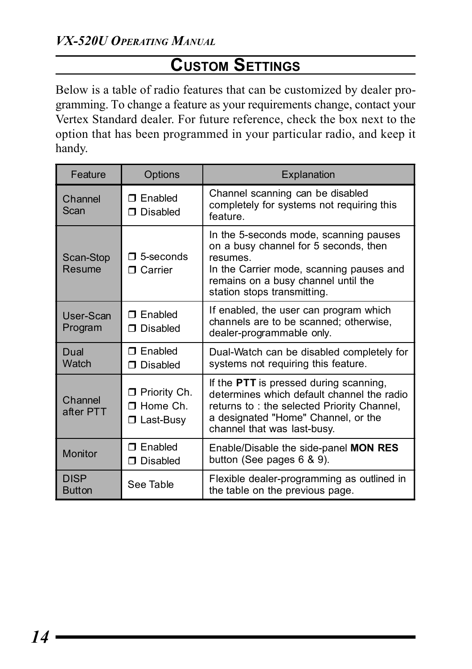# **CUSTOM SETTINGS**

Below is a table of radio features that can be customized by dealer programming. To change a feature as your requirements change, contact your Vertex Standard dealer. For future reference, check the box next to the option that has been programmed in your particular radio, and keep it handy.

| Feature                      | Options                                                    | Explanation                                                                                                                                                                                                   |
|------------------------------|------------------------------------------------------------|---------------------------------------------------------------------------------------------------------------------------------------------------------------------------------------------------------------|
| Channel<br>Scan              | $\Box$ Fnabled<br>$\Box$ Disabled                          | Channel scanning can be disabled<br>completely for systems not requiring this<br>feature.                                                                                                                     |
| Scan-Stop<br>Resume          | $\Box$ 5-seconds<br>$\Box$ Carrier                         | In the 5-seconds mode, scanning pauses<br>on a busy channel for 5 seconds, then<br>resumes.<br>In the Carrier mode, scanning pauses and<br>remains on a busy channel until the<br>station stops transmitting. |
| User-Scan<br>Program         | $\Box$ Fnabled<br>□ Disabled                               | If enabled, the user can program which<br>channels are to be scanned; otherwise,<br>dealer-programmable only.                                                                                                 |
| Dual<br>Watch                | $\Box$ Fnabled<br>$\Box$ Disabled                          | Dual-Watch can be disabled completely for<br>systems not requiring this feature.                                                                                                                              |
| Channel<br>after PTT         | $\Box$ Priority Ch.<br>$\Box$ Home Ch.<br>$\Box$ Last-Busy | If the PTT is pressed during scanning,<br>determines which default channel the radio<br>returns to: the selected Priority Channel,<br>a designated "Home" Channel, or the<br>channel that was last-busy.      |
| Monitor                      | $\Box$ Enabled<br>□ Disabled                               | Enable/Disable the side-panel MON RES<br>button (See pages $6, 8, 9$ ).                                                                                                                                       |
| <b>DISP</b><br><b>Button</b> | See Table                                                  | Flexible dealer-programming as outlined in<br>the table on the previous page.                                                                                                                                 |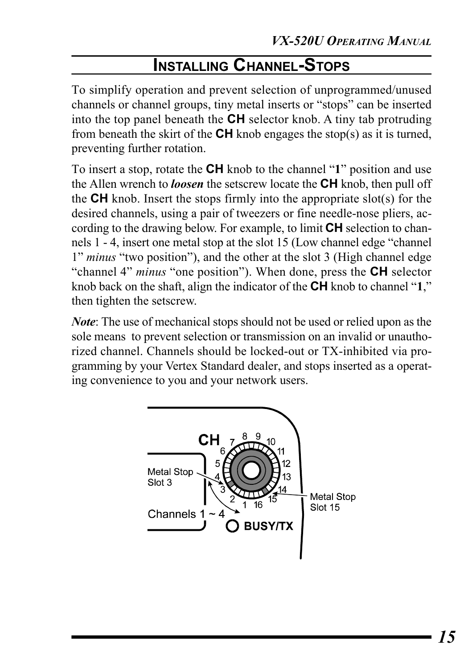# **INSTALLING CHANNEL-STOPS**

To simplify operation and prevent selection of unprogrammed/unused channels or channel groups, tiny metal inserts or "stops" can be inserted into the top panel beneath the **CH** selector knob. A tiny tab protruding from beneath the skirt of the **CH** knob engages the stop(s) as it is turned, preventing further rotation.

To insert a stop, rotate the **CH** knob to the channel "**1**" position and use the Allen wrench to *loosen* the setscrew locate the **CH** knob, then pull off the **CH** knob. Insert the stops firmly into the appropriate slot(s) for the desired channels, using a pair of tweezers or fine needle-nose pliers, according to the drawing below. For example, to limit **CH** selection to channels 1 - 4, insert one metal stop at the slot 15 (Low channel edge "channel 1" *minus* "two position"), and the other at the slot 3 (High channel edge "channel 4" *minus* "one position"). When done, press the **CH** selector knob back on the shaft, align the indicator of the **CH** knob to channel "**1**," then tighten the setscrew.

*Note*: The use of mechanical stops should not be used or relied upon as the sole means to prevent selection or transmission on an invalid or unauthorized channel. Channels should be locked-out or TX-inhibited via programming by your Vertex Standard dealer, and stops inserted as a operating convenience to you and your network users.

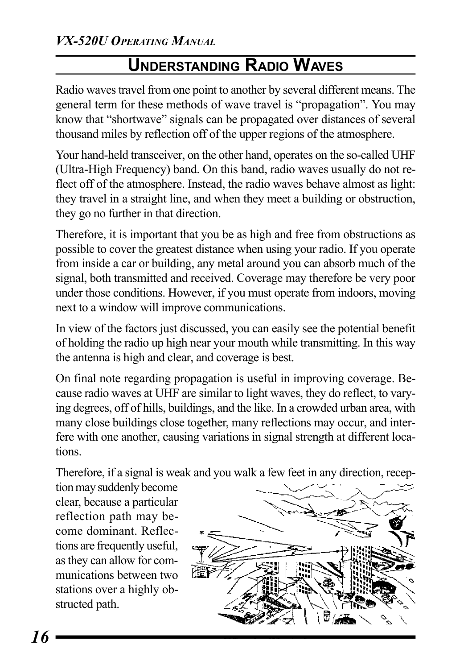# **UNDERSTANDING RADIO WAVES**

Radio waves travel from one point to another by several different means. The general term for these methods of wave travel is "propagation". You may know that "shortwave" signals can be propagated over distances of several thousand miles by reflection off of the upper regions of the atmosphere.

Your hand-held transceiver, on the other hand, operates on the so-called UHF (Ultra-High Frequency) band. On this band, radio waves usually do not reflect off of the atmosphere. Instead, the radio waves behave almost as light: they travel in a straight line, and when they meet a building or obstruction, they go no further in that direction.

Therefore, it is important that you be as high and free from obstructions as possible to cover the greatest distance when using your radio. If you operate from inside a car or building, any metal around you can absorb much of the signal, both transmitted and received. Coverage may therefore be very poor under those conditions. However, if you must operate from indoors, moving next to a window will improve communications.

In view of the factors just discussed, you can easily see the potential benefit of holding the radio up high near your mouth while transmitting. In this way the antenna is high and clear, and coverage is best.

On final note regarding propagation is useful in improving coverage. Because radio waves at UHF are similar to light waves, they do reflect, to varying degrees, off of hills, buildings, and the like. In a crowded urban area, with many close buildings close together, many reflections may occur, and interfere with one another, causing variations in signal strength at different locations.

Therefore, if a signal is weak and you walk a few feet in any direction, recep-

tion may suddenly become clear, because a particular reflection path may become dominant. Reflections are frequently useful, as they can allow for communications between two stations over a highly obstructed path.

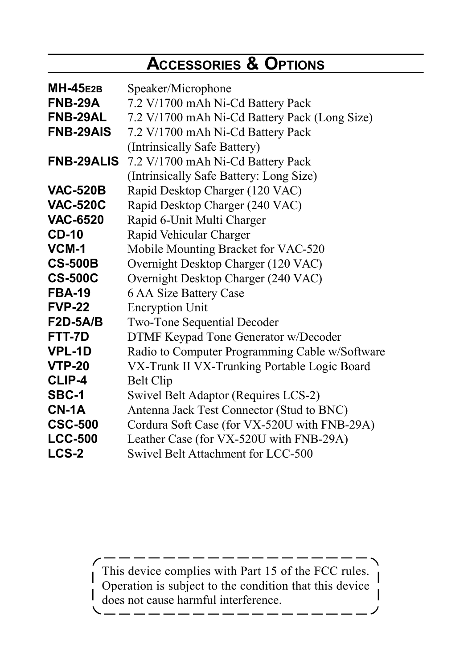# **ACCESSORIES & OPTIONS**

| <b>MH-45E2B</b>   | Speaker/Microphone                             |  |  |
|-------------------|------------------------------------------------|--|--|
| FNB-29A           | 7.2 V/1700 mAh Ni-Cd Battery Pack              |  |  |
| <b>FNB-29AL</b>   | 7.2 V/1700 mAh Ni-Cd Battery Pack (Long Size)  |  |  |
| <b>FNB-29AIS</b>  | 7.2 V/1700 mAh Ni-Cd Battery Pack              |  |  |
|                   | (Intrinsically Safe Battery)                   |  |  |
| <b>FNB-29ALIS</b> | 7.2 V/1700 mAh Ni-Cd Battery Pack              |  |  |
|                   | (Intrinsically Safe Battery: Long Size)        |  |  |
| <b>VAC-520B</b>   | Rapid Desktop Charger (120 VAC)                |  |  |
| <b>VAC-520C</b>   | Rapid Desktop Charger (240 VAC)                |  |  |
| <b>VAC-6520</b>   | Rapid 6-Unit Multi Charger                     |  |  |
| <b>CD-10</b>      | Rapid Vehicular Charger                        |  |  |
| VCM-1             | Mobile Mounting Bracket for VAC-520            |  |  |
| <b>CS-500B</b>    | Overnight Desktop Charger (120 VAC)            |  |  |
| <b>CS-500C</b>    | Overnight Desktop Charger (240 VAC)            |  |  |
| <b>FBA-19</b>     | 6 AA Size Battery Case                         |  |  |
| <b>FVP-22</b>     | <b>Encryption Unit</b>                         |  |  |
| $F2D-5A/B$        | Two-Tone Sequential Decoder                    |  |  |
| FTT-7D            | DTMF Keypad Tone Generator w/Decoder           |  |  |
| <b>VPL-1D</b>     | Radio to Computer Programming Cable w/Software |  |  |
| <b>VTP-20</b>     | VX-Trunk II VX-Trunking Portable Logic Board   |  |  |
| <b>CLIP-4</b>     | Belt Clip                                      |  |  |
| SBC-1             | Swivel Belt Adaptor (Requires LCS-2)           |  |  |
| $CN-1A$           | Antenna Jack Test Connector (Stud to BNC)      |  |  |
| <b>CSC-500</b>    | Cordura Soft Case (for VX-520U with FNB-29A)   |  |  |
| <b>LCC-500</b>    | Leather Case (for VX-520U with FNB-29A)        |  |  |
| LCS-2             | Swivel Belt Attachment for LCC-500             |  |  |

This device complies with Part 15 of the FCC rules. Operation is subject to the condition that this device does not cause harmful interference.